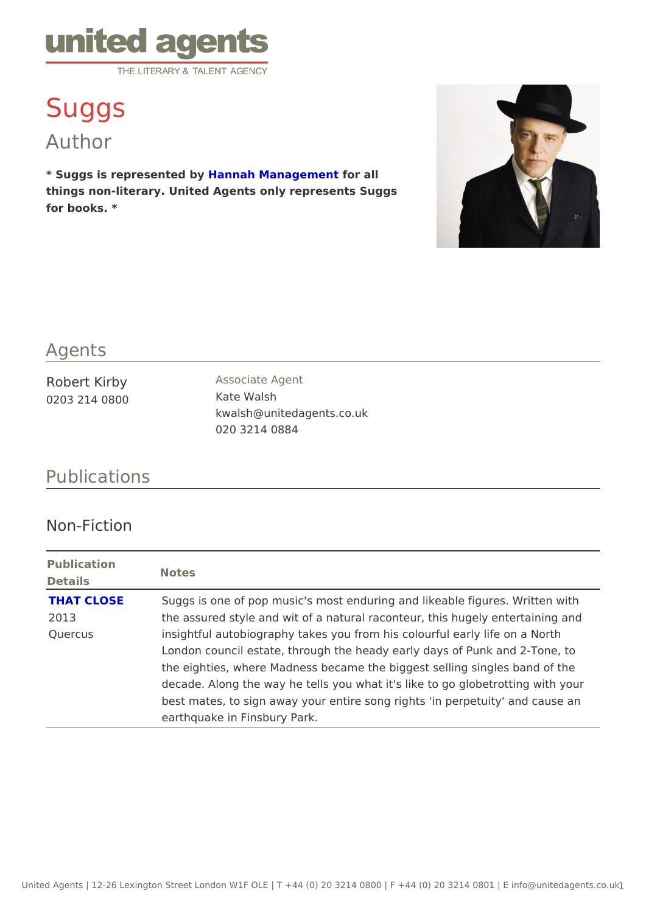## Suggs

Author

\* Suggs is represente blaby ah Manageme for all things non-literary. United Agents only represents Suggs for books. \*

## Agents

| Robert Kirby  | Associate Agent             |
|---------------|-----------------------------|
| 0203 214 0800 | Kate Walsh                  |
|               | kwalsh @ unitedagents.co.uk |
|               | 020 3214 0884               |

## Publications

## Non-Fiction

| Publication<br>Details | Notes                                                            |
|------------------------|------------------------------------------------------------------|
| THAT CLOSE             | Suggs is one of pop music's most enduring and likeable figure    |
| 2013                   | the assured style and wit of a natural raconteur, this hugely e  |
| Quercus                | insightful autobiography takes you from his colourful early life |
|                        | London council estate, through the heady early days of Punk a    |
|                        | the eighties, where Madness became the biggest selling single    |
|                        | decade. Along the way he tells you what it's like to go globetr  |
|                        | best mates, to sign away your entire song rights 'in perpetuity  |
|                        | earthquake in Finsbury Park.                                     |